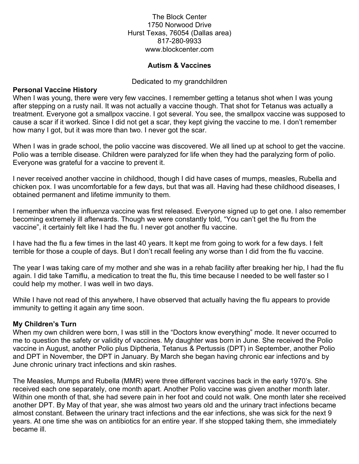The Block Center 1750 Norwood Drive Hurst Texas, 76054 (Dallas area) 817-280-9933 www.blockcenter.com

## **Autism & Vaccines**

#### Dedicated to my grandchildren

#### **Personal Vaccine History**

When I was young, there were very few vaccines. I remember getting a tetanus shot when I was young after stepping on a rusty nail. It was not actually a vaccine though. That shot for Tetanus was actually a treatment. Everyone got a smallpox vaccine. I got several. You see, the smallpox vaccine was supposed to cause a scar if it worked. Since I did not get a scar, they kept giving the vaccine to me. I don't remember how many I got, but it was more than two. I never got the scar.

When I was in grade school, the polio vaccine was discovered. We all lined up at school to get the vaccine. Polio was a terrible disease. Children were paralyzed for life when they had the paralyzing form of polio. Everyone was grateful for a vaccine to prevent it.

I never received another vaccine in childhood, though I did have cases of mumps, measles, Rubella and chicken pox. I was uncomfortable for a few days, but that was all. Having had these childhood diseases, I obtained permanent and lifetime immunity to them.

I remember when the influenza vaccine was first released. Everyone signed up to get one. I also remember becoming extremely ill afterwards. Though we were constantly told, "You can't get the flu from the vaccine", it certainly felt like I had the flu. I never got another flu vaccine.

I have had the flu a few times in the last 40 years. It kept me from going to work for a few days. I felt terrible for those a couple of days. But I don't recall feeling any worse than I did from the flu vaccine.

The year I was taking care of my mother and she was in a rehab facility after breaking her hip, I had the flu again. I did take Tamiflu, a medication to treat the flu, this time because I needed to be well faster so I could help my mother. I was well in two days.

While I have not read of this anywhere, I have observed that actually having the flu appears to provide immunity to getting it again any time soon.

### **My Children's Turn**

When my own children were born, I was still in the "Doctors know everything" mode. It never occurred to me to question the safety or validity of vaccines. My daughter was born in June. She received the Polio vaccine in August, another Polio plus Diptheria, Tetanus & Pertussis (DPT) in September, another Polio and DPT in November, the DPT in January. By March she began having chronic ear infections and by June chronic urinary tract infections and skin rashes.

The Measles, Mumps and Rubella (MMR) were three different vaccines back in the early 1970's. She received each one separately, one month apart. Another Polio vaccine was given another month later. Within one month of that, she had severe pain in her foot and could not walk. One month later she received another DPT. By May of that year, she was almost two years old and the urinary tract infections became almost constant. Between the urinary tract infections and the ear infections, she was sick for the next 9 years. At one time she was on antibiotics for an entire year. If she stopped taking them, she immediately became ill.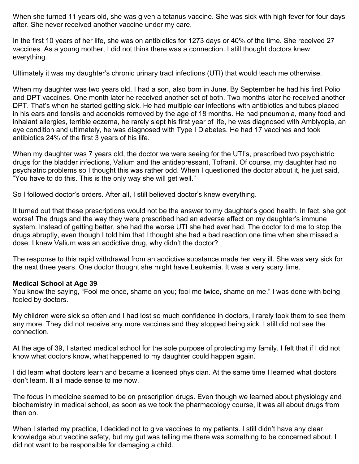When she turned 11 years old, she was given a tetanus vaccine. She was sick with high fever for four days after. She never received another vaccine under my care.

In the first 10 years of her life, she was on antibiotics for 1273 days or 40% of the time. She received 27 vaccines. As a young mother, I did not think there was a connection. I still thought doctors knew everything.

Ultimately it was my daughter's chronic urinary tract infections (UTI) that would teach me otherwise.

When my daughter was two years old, I had a son, also born in June. By September he had his first Polio and DPT vaccines. One month later he received another set of both. Two months later he received another DPT. That's when he started getting sick. He had multiple ear infections with antibiotics and tubes placed in his ears and tonsils and adenoids removed by the age of 18 months. He had pneumonia, many food and inhalant allergies, terrible eczema, he rarely slept his first year of life, he was diagnosed with Amblyopia, an eye condition and ultimately, he was diagnosed with Type I Diabetes. He had 17 vaccines and took antibiotics 24% of the first 3 years of his life.

When my daughter was 7 years old, the doctor we were seeing for the UTI's, prescribed two psychiatric drugs for the bladder infections, Valium and the antidepressant, Tofranil. Of course, my daughter had no psychiatric problems so I thought this was rather odd. When I questioned the doctor about it, he just said, "You have to do this. This is the only way she will get well."

So I followed doctor's orders. After all, I still believed doctor's knew everything.

It turned out that these prescriptions would not be the answer to my daughter's good health. In fact, she got worse! The drugs and the way they were prescribed had an adverse effect on my daughter's immune system. Instead of getting better, she had the worse UTI she had ever had. The doctor told me to stop the drugs abruptly, even though I told him that I thought she had a bad reaction one time when she missed a dose. I knew Valium was an addictive drug, why didn't the doctor?

The response to this rapid withdrawal from an addictive substance made her very ill. She was very sick for the next three years. One doctor thought she might have Leukemia. It was a very scary time.

### **Medical School at Age 39**

You know the saying, "Fool me once, shame on you; fool me twice, shame on me." I was done with being fooled by doctors.

My children were sick so often and I had lost so much confidence in doctors, I rarely took them to see them any more. They did not receive any more vaccines and they stopped being sick. I still did not see the connection.

At the age of 39, I started medical school for the sole purpose of protecting my family. I felt that if I did not know what doctors know, what happened to my daughter could happen again.

I did learn what doctors learn and became a licensed physician. At the same time I learned what doctors don't learn. It all made sense to me now.

The focus in medicine seemed to be on prescription drugs. Even though we learned about physiology and biochemistry in medical school, as soon as we took the pharmacology course, it was all about drugs from then on.

When I started my practice, I decided not to give vaccines to my patients. I still didn't have any clear knowledge abut vaccine safety, but my gut was telling me there was something to be concerned about. I did not want to be responsible for damaging a child.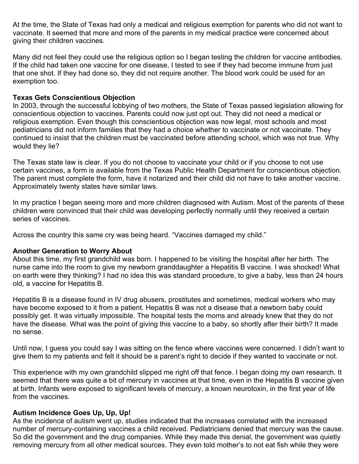At the time, the State of Texas had only a medical and religious exemption for parents who did not want to vaccinate. It seemed that more and more of the parents in my medical practice were concerned about giving their children vaccines.

Many did not feel they could use the religious option so I began testing the children for vaccine antibodies. If the child had taken one vaccine for one disease, I tested to see if they had become immune from just that one shot. If they had done so, they did not require another. The blood work could be used for an exemption too.

# **Texas Gets Conscientious Objection**

In 2003, through the successful lobbying of two mothers, the State of Texas passed legislation allowing for conscientious objection to vaccines. Parents could now just opt out. They did not need a medical or religious exemption. Even though this conscientious objection was now legal, most schools and most pediatricians did not inform families that they had a choice whether to vaccinate or not vaccinate. They continued to insist that the children must be vaccinated before attending school, which was not true. Why would they lie?

The Texas state law is clear. If you do not choose to vaccinate your child or if you choose to not use certain vaccines, a form is available from the Texas Public Health Department for conscientious objection. The parent must complete the form, have it notarized and their child did not have to take another vaccine. Approximately twenty states have similar laws.

In my practice I began seeing more and more children diagnosed with Autism. Most of the parents of these children were convinced that their child was developing perfectly normally until they received a certain series of vaccines.

Across the country this same cry was being heard. "Vaccines damaged my child."

### **Another Generation to Worry About**

About this time, my first grandchild was born. I happened to be visiting the hospital after her birth. The nurse came into the room to give my newborn granddaughter a Hepatitis B vaccine. I was shocked! What on earth were they thinking? I had no idea this was standard procedure, to give a baby, less than 24 hours old, a vaccine for Hepatitis B.

Hepatitis B is a disease found in IV drug abusers, prostitutes and sometimes, medical workers who may have become exposed to it from a patient. Hepatitis B was not a disease that a newborn baby could possibly get. It was virtually impossible. The hospital tests the moms and already knew that they do not have the disease. What was the point of giving this vaccine to a baby, so shortly after their birth? It made no sense.

Until now, I guess you could say I was sitting on the fence where vaccines were concerned. I didn't want to give them to my patients and felt it should be a parent's right to decide if they wanted to vaccinate or not.

This experience with my own grandchild slipped me right off that fence. I began doing my own research. It seemed that there was quite a bit of mercury in vaccines at that time, even in the Hepatitis B vaccine given at birth. Infants were exposed to significant levels of mercury, a known neurotoxin, in the first year of life from the vaccines.

### **Autism Incidence Goes Up, Up, Up!**

As the incidence of autism went up, studies indicated that the increases correlated with the increased number of mercury-containing vaccines a child received. Pediatricians denied that mercury was the cause. So did the government and the drug companies. While they made this denial, the government was quietly removing mercury from all other medical sources. They even told mother's to not eat fish while they were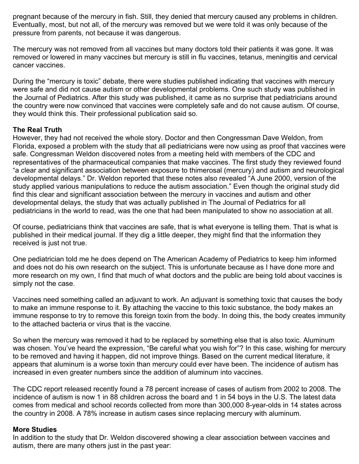pregnant because of the mercury in fish. Still, they denied that mercury caused any problems in children. Eventually, most, but not all, of the mercury was removed but we were told it was only because of the pressure from parents, not because it was dangerous.

The mercury was not removed from all vaccines but many doctors told their patients it was gone. It was removed or lowered in many vaccines but mercury is still in flu vaccines, tetanus, meningitis and cervical cancer vaccines.

During the "mercury is toxic" debate, there were studies published indicating that vaccines with mercury were safe and did not cause autism or other developmental problems. One such study was published in the Journal of Pediatrics. After this study was published, it came as no surprise that pediatricians around the country were now convinced that vaccines were completely safe and do not cause autism. Of course, they would think this. Their professional publication said so.

# **The Real Truth**

However, they had not received the whole story. Doctor and then Congressman Dave Weldon, from Florida, exposed a problem with the study that all pediatricians were now using as proof that vaccines were safe. Congressman Weldon discovered notes from a meeting held with members of the CDC and representatives of the pharmaceutical companies that make vaccines. The first study they reviewed found "a clear and significant association between exposure to thimerosal (mercury) and autism and neurological developmental delays." Dr. Weldon reported that these notes also revealed "A June 2000, version of the study applied various manipulations to reduce the autism association." Even though the original study did find this clear and significant association between the mercury in vaccines and autism and other developmental delays, the study that was actually published in The Journal of Pediatrics for all pediatricians in the world to read, was the one that had been manipulated to show no association at all.

Of course, pediatricians think that vaccines are safe, that is what everyone is telling them. That is what is published in their medical journal. If they dig a little deeper, they might find that the information they received is just not true.

One pediatrician told me he does depend on The American Academy of Pediatrics to keep him informed and does not do his own research on the subject. This is unfortunate because as I have done more and more research on my own, I find that much of what doctors and the public are being told about vaccines is simply not the case.

Vaccines need something called an adjuvant to work. An adjuvant is something toxic that causes the body to make an immune response to it. By attaching the vaccine to this toxic substance, the body makes an immune response to try to remove this foreign toxin from the body. In doing this, the body creates immunity to the attached bacteria or virus that is the vaccine.

So when the mercury was removed it had to be replaced by something else that is also toxic. Aluminum was chosen. You've heard the expression, "Be careful what you wish for"? In this case, wishing for mercury to be removed and having it happen, did not improve things. Based on the current medical literature, it appears that aluminum is a worse toxin than mercury could ever have been. The incidence of autism has increased in even greater numbers since the addition of aluminum into vaccines.

The CDC report released recently found a 78 percent increase of cases of autism from 2002 to 2008. The incidence of autism is now 1 in 88 children across the board and 1 in 54 boys in the U.S. The latest data comes from medical and school records collected from more than 300,000 8-year-olds in 14 states across the country in 2008. A 78% increase in autism cases since replacing mercury with aluminum.

### **More Studies**

In addition to the study that Dr. Weldon discovered showing a clear association between vaccines and autism, there are many others just in the past year: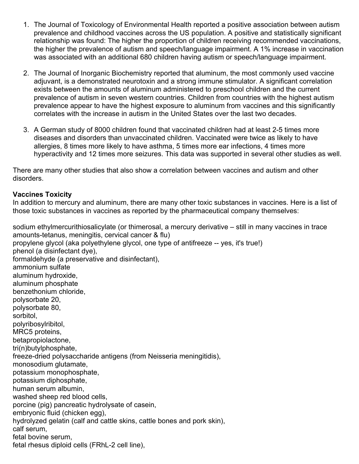- 1. The Journal of Toxicology of Environmental Health reported a positive association between autism prevalence and childhood vaccines across the US population. A positive and statistically significant relationship was found: The higher the proportion of children receiving recommended vaccinations, the higher the prevalence of autism and speech/language impairment. A 1% increase in vaccination was associated with an additional 680 children having autism or speech/language impairment.
- 2. The Journal of Inorganic Biochemistry reported that aluminum, the most commonly used vaccine adjuvant, is a demonstrated neurotoxin and a strong immune stimulator. A significant correlation exists between the amounts of aluminum administered to preschool children and the current prevalence of autism in seven western countries. Children from countries with the highest autism prevalence appear to have the highest exposure to aluminum from vaccines and this significantly correlates with the increase in autism in the United States over the last two decades.
- 3. A German study of 8000 children found that vaccinated children had at least 2-5 times more diseases and disorders than unvaccinated children. Vaccinated were twice as likely to have allergies, 8 times more likely to have asthma, 5 times more ear infections, 4 times more hyperactivity and 12 times more seizures. This data was supported in several other studies as well.

There are many other studies that also show a correlation between vaccines and autism and other disorders.

# **Vaccines Toxicity**

In addition to mercury and aluminum, there are many other toxic substances in vaccines. Here is a list of those toxic substances in vaccines as reported by the pharmaceutical company themselves:

sodium ethylmercurithiosalicylate (or thimerosal, a mercury derivative – still in many vaccines in trace amounts-tetanus, meningitis, cervical cancer & flu) propylene glycol (aka polyethylene glycol, one type of antifreeze -- yes, it's true!) phenol (a disinfectant dye), formaldehyde (a preservative and disinfectant), ammonium sulfate aluminum hydroxide, aluminum phosphate benzethonium chloride, polysorbate 20, polysorbate 80, sorbitol, polyribosylribitol, MRC5 proteins, betapropiolactone, tri(n)butylphosphate, freeze-dried polysaccharide antigens (from Neisseria meningitidis), monosodium glutamate, potassium monophosphate, potassium diphosphate, human serum albumin, washed sheep red blood cells, porcine (pig) pancreatic hydrolysate of casein, embryonic fluid (chicken egg), hydrolyzed gelatin (calf and cattle skins, cattle bones and pork skin), calf serum, fetal bovine serum, fetal rhesus diploid cells (FRhL-2 cell line),